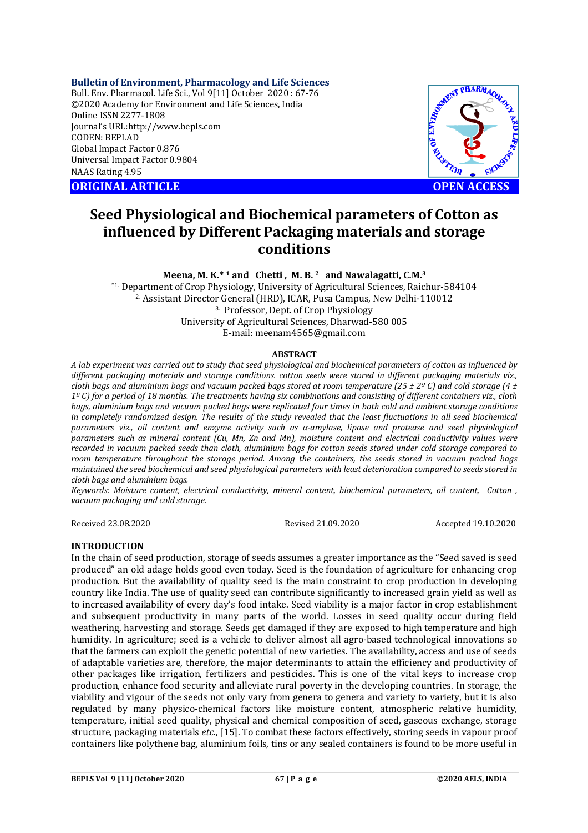# **Bulletin of Environment, Pharmacology and Life Sciences**

Bull. Env. Pharmacol. Life Sci., Vol 9[11] October 2020 : 67-76 ©2020 Academy for Environment and Life Sciences, India Online ISSN 2277-1808 Journal's URL:<http://www.bepls.com> CODEN: BEPLAD Global Impact Factor 0.876 Universal Impact Factor 0.9804 NAAS Rating 4.95

**ORIGINAL ARTICLE OPEN ACCESS**



# **Seed Physiological and Biochemical parameters of Cotton as influenced by Different Packaging materials and storage conditions**

## **Meena, M. K.\* <sup>1</sup> and Chetti , M. B. 2 and Nawalagatti, C.M.<sup>3</sup>**

\*1. Department of Crop Physiology, University of Agricultural Sciences, Raichur-584104 2. Assistant Director General (HRD), ICAR, Pusa Campus, New Delhi-110012 3. Professor, Dept. of Crop Physiology University of Agricultural Sciences, Dharwad-580 005 E-mail: [meenam4565@gmail.com](mailto:meenam4565@gmail.com)

### **ABSTRACT**

*A lab experiment was carried out to study that seed physiological and biochemical parameters of cotton as influenced by different packaging materials and storage conditions. cotton seeds were stored in different packaging materials viz., cloth bags and aluminium bags and vacuum packed bags stored at room temperature (25 ± 2º C) and cold storage (4 ± 1º C) for a period of 18 months. The treatments having six combinations and consisting of different containers viz., cloth bags, aluminium bags and vacuum packed bags were replicated four times in both cold and ambient storage conditions in completely randomized design. The results of the study revealed that the least fluctuations in all seed biochemical parameters viz., oil content and enzyme activity such as α-amylase, lipase and protease and seed physiological parameters such as mineral content (Cu, Mn, Zn and Mn), moisture content and electrical conductivity values were recorded in vacuum packed seeds than cloth, aluminium bags for cotton seeds stored under cold storage compared to room temperature throughout the storage period. Among the containers, the seeds stored in vacuum packed bags maintained the seed biochemical and seed physiological parameters with least deterioration compared to seeds stored in cloth bags and aluminium bags.*

*Keywords: Moisture content, electrical conductivity, mineral content, biochemical parameters, oil content, Cotton , vacuum packaging and cold storage.*

Received 23.08.2020 Revised 21.09.2020 Accepted 19.10.2020

# **INTRODUCTION**

In the chain of seed production, storage of seeds assumes a greater importance as the "Seed saved is seed produced" an old adage holds good even today. Seed is the foundation of agriculture for enhancing crop production. But the availability of quality seed is the main constraint to crop production in developing country like India. The use of quality seed can contribute significantly to increased grain yield as well as to increased availability of every day's food intake. Seed viability is a major factor in crop establishment and subsequent productivity in many parts of the world. Losses in seed quality occur during field weathering, harvesting and storage. Seeds get damaged if they are exposed to high temperature and high humidity. In agriculture; seed is a vehicle to deliver almost all agro-based technological innovations so that the farmers can exploit the genetic potential of new varieties. The availability, access and use of seeds of adaptable varieties are, therefore, the major determinants to attain the efficiency and productivity of other packages like irrigation, fertilizers and pesticides. This is one of the vital keys to increase crop production, enhance food security and alleviate rural poverty in the developing countries. In storage, the viability and vigour of the seeds not only vary from genera to genera and variety to variety, but it is also regulated by many physico-chemical factors like moisture content, atmospheric relative humidity, temperature, initial seed quality, physical and chemical composition of seed, gaseous exchange, storage structure, packaging materials *etc*., [15]. To combat these factors effectively, storing seeds in vapour proof containers like polythene bag, aluminium foils, tins or any sealed containers is found to be more useful in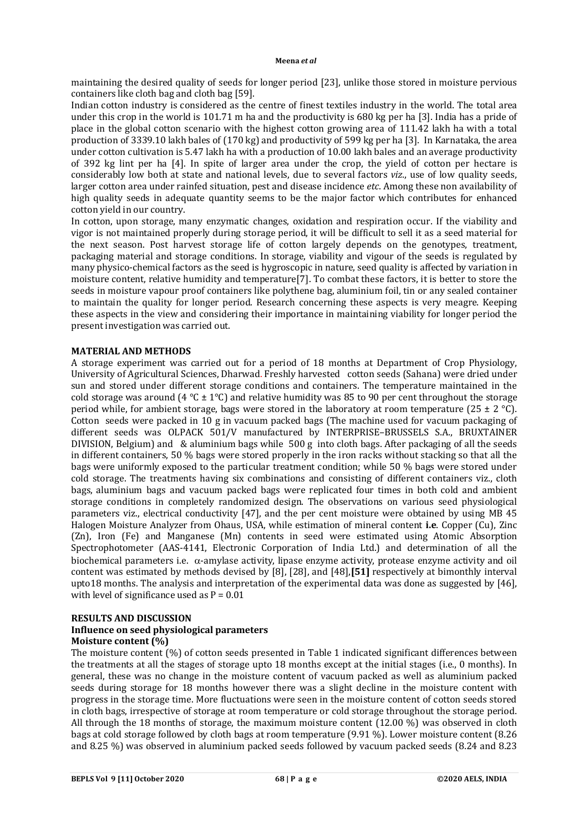maintaining the desired quality of seeds for longer period [23], unlike those stored in moisture pervious containers like cloth bag and cloth bag [59].

Indian cotton industry is considered as the centre of finest textiles industry in the world. The total area under this crop in the world is 101.71 m ha and the productivity is 680 kg per ha [3]. India has a pride of place in the global cotton scenario with the highest cotton growing area of 111.42 lakh ha with a total production of 3339.10 lakh bales of (170 kg) and productivity of 599 kg per ha [3]. In Karnataka, the area under cotton cultivation is 5.47 lakh ha with a production of 10.00 lakh bales and an average productivity of 392 kg lint per ha [4]. In spite of larger area under the crop, the yield of cotton per hectare is considerably low both at state and national levels, due to several factors *viz*., use of low quality seeds, larger cotton area under rainfed situation, pest and disease incidence *etc*. Among these non availability of high quality seeds in adequate quantity seems to be the major factor which contributes for enhanced cotton yield in our country.

In cotton, upon storage, many enzymatic changes, oxidation and respiration occur. If the viability and vigor is not maintained properly during storage period, it will be difficult to sell it as a seed material for the next season. Post harvest storage life of cotton largely depends on the genotypes, treatment, packaging material and storage conditions. In storage, viability and vigour of the seeds is regulated by many physico-chemical factors as the seed is hygroscopic in nature, seed quality is affected by variation in moisture content, relative humidity and temperature[7]. To combat these factors, it is better to store the seeds in moisture vapour proof containers like polythene bag, aluminium foil, tin or any sealed container to maintain the quality for longer period. Research concerning these aspects is very meagre. Keeping these aspects in the view and considering their importance in maintaining viability for longer period the present investigation was carried out.

### **MATERIAL AND METHODS**

A storage experiment was carried out for a period of 18 months at Department of Crop Physiology, University of Agricultural Sciences, Dharwad. Freshly harvested cotton seeds (Sahana) were dried under sun and stored under different storage conditions and containers. The temperature maintained in the cold storage was around (4 °C  $\pm$  1°C) and relative humidity was 85 to 90 per cent throughout the storage period while, for ambient storage, bags were stored in the laboratory at room temperature (25  $\pm$  2 °C). Cotton seeds were packed in 10 g in vacuum packed bags (The machine used for vacuum packaging of different seeds was OLPACK 501/V manufactured by INTERPRISE–BRUSSELS S.A., BRUXTAINER DIVISION, Belgium) and & aluminium bags while 500 g into cloth bags. After packaging of all the seeds in different containers, 50 % bags were stored properly in the iron racks without stacking so that all the bags were uniformly exposed to the particular treatment condition; while 50 % bags were stored under cold storage. The treatments having six combinations and consisting of different containers viz., cloth bags, aluminium bags and vacuum packed bags were replicated four times in both cold and ambient storage conditions in completely randomized design. The observations on various seed physiological parameters viz., electrical conductivity [47], and the per cent moisture were obtained by using MB 45 Halogen Moisture Analyzer from Ohaus, USA, while estimation of mineral content **i.e**. Copper (Cu), Zinc (Zn), Iron (Fe) and Manganese (Mn) contents in seed were estimated using Atomic Absorption Spectrophotometer (AAS-4141, Electronic Corporation of India Ltd.) and determination of all the biochemical parameters i.e.  $\alpha$ -amylase activity, lipase enzyme activity, protease enzyme activity and oil content was estimated by methods devised by [8], [28], and [48],**[51]** respectively at bimonthly interval upto18 months. The analysis and interpretation of the experimental data was done as suggested by [46], with level of significance used as  $P = 0.01$ 

### **RESULTS AND DISCUSSION**

### **Influence on seed physiological parameters Moisture content (%)**

The moisture content (%) of cotton seeds presented in Table 1 indicated significant differences between the treatments at all the stages of storage upto 18 months except at the initial stages (i.e., 0 months). In general, these was no change in the moisture content of vacuum packed as well as aluminium packed seeds during storage for 18 months however there was a slight decline in the moisture content with progress in the storage time. More fluctuations were seen in the moisture content of cotton seeds stored in cloth bags, irrespective of storage at room temperature or cold storage throughout the storage period. All through the 18 months of storage, the maximum moisture content (12.00 %) was observed in cloth bags at cold storage followed by cloth bags at room temperature (9.91 %). Lower moisture content (8.26 and 8.25 %) was observed in aluminium packed seeds followed by vacuum packed seeds (8.24 and 8.23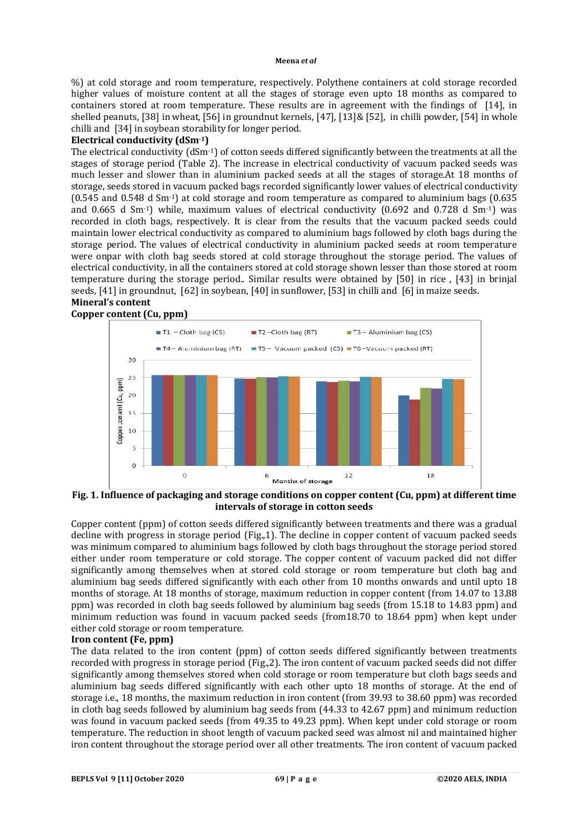%) at cold storage and room temperature, respectively. Polythene containers at cold storage recorded higher values of moisture content at all the stages of storage even upto 18 months as compared to containers stored at room temperature. These results are in agreement with the findings of[14], in shelled peanuts, [38] in wheat, [56] in groundnut kernels, [47], [13]& [52], in chilli powder, [54] in whole chilli and [34] in soybean storability for longer period.

# **Electrical conductivity (dSm-1)**

The electrical conductivity  $(dSm^{-1})$  of cotton seeds differed significantly between the treatments at all the stages of storage period (Table 2). The increase in electrical conductivity of vacuum packed seeds was much lesser and slower than in aluminium packed seeds at all the stages of storage.At 18 months of storage, seeds stored in vacuum packed bags recorded significantly lower values of electrical conductivity (0.545 and 0.548 d Sm-1) at cold storage and room temperature as compared to aluminium bags (0.635 and 0.665 d Sm-1) while, maximum values of electrical conductivity (0.692 and 0.728 d Sm-1) was recorded in cloth bags, respectively. It is clear from the results that the vacuum packed seeds could maintain lower electrical conductivity as compared to aluminium bags followed by cloth bags during the storage period. The values of electrical conductivity in aluminium packed seeds at room temperature were onpar with cloth bag seeds stored at cold storage throughout the storage period. The values of electrical conductivity, in all the containers stored at cold storage shown lesser than those stored at room temperature during the storage period.. Similar results were obtained by [50] in rice , [43] in brinjal seeds, [41] in groundnut, [62] in soybean, [40] in sunflower, [53] in chilli and [6] in maize seeds. **Mineral's content** 

# **Copper content (Cu, ppm)**



## **Fig. 1. Influence of packaging and storage conditions on copper content (Cu, ppm) at different time intervals of storage in cotton seeds**

Copper content (ppm) of cotton seeds differed significantly between treatments and there was a gradual decline with progress in storage period (Fig.,1). The decline in copper content of vacuum packed seeds was minimum compared to aluminium bags followed by cloth bags throughout the storage period stored either under room temperature or cold storage. The copper content of vacuum packed did not differ significantly among themselves when at stored cold storage or room temperature but cloth bag and aluminium bag seeds differed significantly with each other from 10 months onwards and until upto 18 months of storage. At 18 months of storage, maximum reduction in copper content (from 14.07 to 13.88 ppm) was recorded in cloth bag seeds followed by aluminium bag seeds (from 15.18 to 14.83 ppm) and minimum reduction was found in vacuum packed seeds (from18.70 to 18.64 ppm) when kept under either cold storage or room temperature.

# **Iron content (Fe, ppm)**

The data related to the iron content (ppm) of cotton seeds differed significantly between treatments recorded with progress in storage period (Fig.,2). The iron content of vacuum packed seeds did not differ significantly among themselves stored when cold storage or room temperature but cloth bags seeds and aluminium bag seeds differed significantly with each other upto 18 months of storage. At the end of storage i.e., 18 months, the maximum reduction in iron content (from 39.93 to 38.60 ppm) was recorded in cloth bag seeds followed by aluminium bag seeds from (44.33 to 42.67 ppm) and minimum reduction was found in vacuum packed seeds (from 49.35 to 49.23 ppm). When kept under cold storage or room temperature. The reduction in shoot length of vacuum packed seed was almost nil and maintained higher iron content throughout the storage period over all other treatments. The iron content of vacuum packed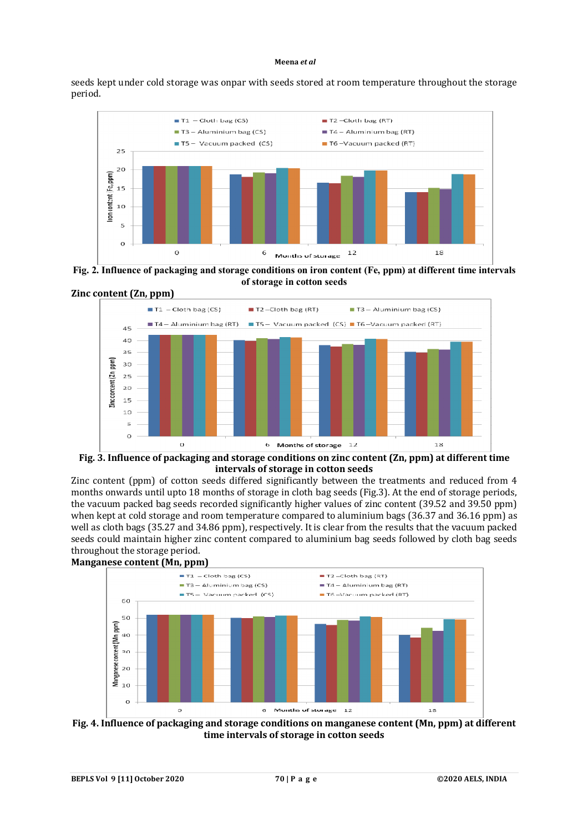seeds kept under cold storage was onpar with seeds stored at room temperature throughout the storage period.



**Fig. 2. Influence of packaging and storage conditions on iron content (Fe, ppm) at different time intervals of storage in cotton seeds**



**Fig. 3. Influence of packaging and storage conditions on zinc content (Zn, ppm) at different time intervals of storage in cotton seeds**

Zinc content (ppm) of cotton seeds differed significantly between the treatments and reduced from 4 months onwards until upto 18 months of storage in cloth bag seeds (Fig.3). At the end of storage periods, the vacuum packed bag seeds recorded significantly higher values of zinc content (39.52 and 39.50 ppm) when kept at cold storage and room temperature compared to aluminium bags (36.37 and 36.16 ppm) as well as cloth bags (35.27 and 34.86 ppm), respectively. It is clear from the results that the vacuum packed seeds could maintain higher zinc content compared to aluminium bag seeds followed by cloth bag seeds throughout the storage period.



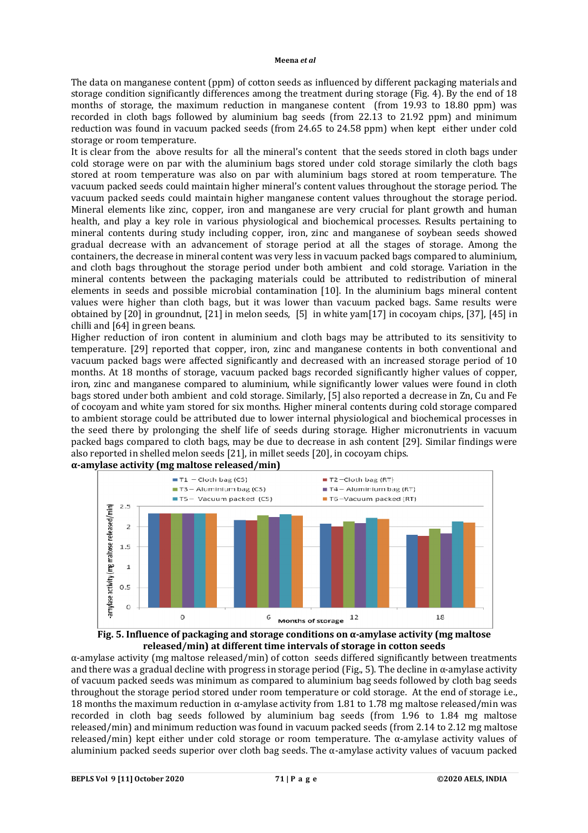The data on manganese content (ppm) of cotton seeds as influenced by different packaging materials and storage condition significantly differences among the treatment during storage (Fig. 4). By the end of 18 months of storage, the maximum reduction in manganese content (from 19.93 to 18.80 ppm) was recorded in cloth bags followed by aluminium bag seeds (from 22.13 to 21.92 ppm) and minimum reduction was found in vacuum packed seeds (from 24.65 to 24.58 ppm) when kept either under cold storage or room temperature.

It is clear from the above results for all the mineral's content that the seeds stored in cloth bags under cold storage were on par with the aluminium bags stored under cold storage similarly the cloth bags stored at room temperature was also on par with aluminium bags stored at room temperature. The vacuum packed seeds could maintain higher mineral's content values throughout the storage period. The vacuum packed seeds could maintain higher manganese content values throughout the storage period. Mineral elements like zinc, copper, iron and manganese are very crucial for plant growth and human health, and play a key role in various physiological and biochemical processes. Results pertaining to mineral contents during study including copper, iron, zinc and manganese of soybean seeds showed gradual decrease with an advancement of storage period at all the stages of storage. Among the containers, the decrease in mineral content was very less in vacuum packed bags compared to aluminium, and cloth bags throughout the storage period under both ambient and cold storage. Variation in the mineral contents between the packaging materials could be attributed to redistribution of mineral elements in seeds and possible microbial contamination [10]. In the aluminium bags mineral content values were higher than cloth bags, but it was lower than vacuum packed bags. Same results were obtained by [20] in groundnut, [21] in melon seeds, [5] in white yam[17] in cocoyam chips, [37], [45] in chilli and [64] in green beans.

Higher reduction of iron content in aluminium and cloth bags may be attributed to its sensitivity to temperature. [29] reported that copper, iron, zinc and manganese contents in both conventional and vacuum packed bags were affected significantly and decreased with an increased storage period of 10 months. At 18 months of storage, vacuum packed bags recorded significantly higher values of copper, iron, zinc and manganese compared to aluminium, while significantly lower values were found in cloth bags stored under both ambient and cold storage. Similarly, [5] also reported a decrease in Zn, Cu and Fe of cocoyam and white yam stored for six months. Higher mineral contents during cold storage compared to ambient storage could be attributed due to lower internal physiological and biochemical processes in the seed there by prolonging the shelf life of seeds during storage. Higher micronutrients in vacuum packed bags compared to cloth bags, may be due to decrease in ash content [29]. Similar findings were also reported in shelled melon seeds [21], in millet seeds [20], in cocoyam chips. **α-amylase activity (mg maltose released/min)**





α-amylase activity (mg maltose released/min) of cotton seeds differed significantly between treatments and there was a gradual decline with progress in storage period (Fig., 5). The decline in  $\alpha$ -amylase activity of vacuum packed seeds was minimum as compared to aluminium bag seeds followed by cloth bag seeds throughout the storage period stored under room temperature or cold storage. At the end of storage i.e., 18 months the maximum reduction in α-amylase activity from 1.81 to 1.78 mg maltose released/min was recorded in cloth bag seeds followed by aluminium bag seeds (from 1.96 to 1.84 mg maltose released/min) and minimum reduction was found in vacuum packed seeds (from 2.14 to 2.12 mg maltose released/min) kept either under cold storage or room temperature. The α-amylase activity values of aluminium packed seeds superior over cloth bag seeds. The  $\alpha$ -amylase activity values of vacuum packed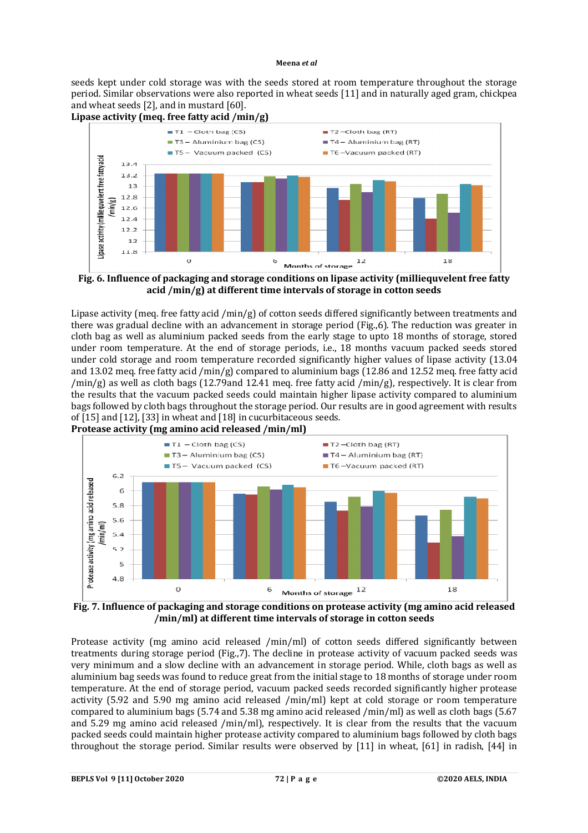seeds kept under cold storage was with the seeds stored at room temperature throughout the storage period. Similar observations were also reported in wheat seeds [11] and in naturally aged gram, chickpea and wheat seeds [2], and in mustard [60].



**acid /min/g) at different time intervals of storage in cotton seeds**

Lipase activity (meq. free fatty acid /min/g) of cotton seeds differed significantly between treatments and there was gradual decline with an advancement in storage period (Fig.,6). The reduction was greater in cloth bag as well as aluminium packed seeds from the early stage to upto 18 months of storage, stored under room temperature. At the end of storage periods, i.e., 18 months vacuum packed seeds stored under cold storage and room temperature recorded significantly higher values of lipase activity (13.04 and 13.02 meq. free fatty acid /min/g) compared to aluminium bags (12.86 and 12.52 meq. free fatty acid /min/g) as well as cloth bags (12.79and 12.41 meq. free fatty acid /min/g), respectively. It is clear from the results that the vacuum packed seeds could maintain higher lipase activity compared to aluminium bags followed by cloth bags throughout the storage period. Our results are in good agreement with results of [15] and [12], [33] in wheat and [18] in cucurbitaceous seeds*.*  **Protease activity (mg amino acid released /min/ml)**



**Fig. 7. Influence of packaging and storage conditions on protease activity (mg amino acid released /min/ml) at different time intervals of storage in cotton seeds**

Protease activity (mg amino acid released /min/ml) of cotton seeds differed significantly between treatments during storage period (Fig.,7). The decline in protease activity of vacuum packed seeds was very minimum and a slow decline with an advancement in storage period. While, cloth bags as well as aluminium bag seeds was found to reduce great from the initial stage to 18 months of storage under room temperature. At the end of storage period, vacuum packed seeds recorded significantly higher protease activity (5.92 and 5.90 mg amino acid released /min/ml) kept at cold storage or room temperature compared to aluminium bags (5.74 and 5.38 mg amino acid released /min/ml) as well as cloth bags (5.67 and 5.29 mg amino acid released /min/ml), respectively. It is clear from the results that the vacuum packed seeds could maintain higher protease activity compared to aluminium bags followed by cloth bags throughout the storage period. Similar results were observed by [11] in wheat, [61] in radish, [44] in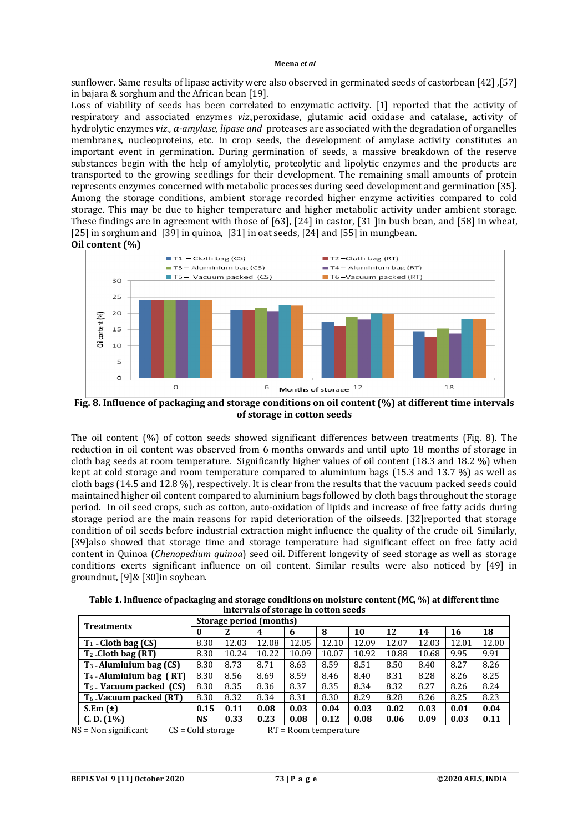sunflower. Same results of lipase activity were also observed in germinated seeds of castorbean [42] ,[57] in bajara & sorghum and the African bean [19].

Loss of viability of seeds has been correlated to enzymatic activity. [1] reported that the activity of respiratory and associated enzymes *viz.,*peroxidase, glutamic acid oxidase and catalase, activity of hydrolytic enzymes *viz., α-amylase, lipase and* proteases are associated with the degradation of organelles membranes, nucleoproteins, etc. In crop seeds, the development of amylase activity constitutes an important event in germination. During germination of seeds, a massive breakdown of the reserve substances begin with the help of amylolytic, proteolytic and lipolytic enzymes and the products are transported to the growing seedlings for their development. The remaining small amounts of protein represents enzymes concerned with metabolic processes during seed development and germination [35]. Among the storage conditions, ambient storage recorded higher enzyme activities compared to cold storage. This may be due to higher temperature and higher metabolic activity under ambient storage. These findings are in agreement with those of [63], [24] in castor, [31 ]in bush bean, and [58] in wheat, [25] in sorghum and [39] in quinoa, [31] in oat seeds, [24] and [55] in mungbean. **Oil content (%)**



**Fig. 8. Influence of packaging and storage conditions on oil content (%) at different time intervals of storage in cotton seeds**

The oil content (%) of cotton seeds showed significant differences between treatments (Fig. 8). The reduction in oil content was observed from 6 months onwards and until upto 18 months of storage in cloth bag seeds at room temperature. Significantly higher values of oil content (18.3 and 18.2 %) when kept at cold storage and room temperature compared to aluminium bags (15.3 and 13.7 %) as well as cloth bags (14.5 and 12.8 %), respectively. It is clear from the results that the vacuum packed seeds could maintained higher oil content compared to aluminium bags followed by cloth bags throughout the storage period.In oil seed crops, such as cotton, auto-oxidation of lipids and increase of free fatty acids during storage period are the main reasons for rapid deterioration of the oilseeds. [32]reported that storage condition of oil seeds before industrial extraction might influence the quality of the crude oil. Similarly, [39]also showed that storage time and storage temperature had significant effect on free fatty acid content in Quinoa (*Chenopedium quinoa*) seed oil. Different longevity of seed storage as well as storage conditions exerts significant influence on oil content. Similar results were also noticed by [49] in groundnut, [9]& [30]in soybean.

**Table 1. Influence of packaging and storage conditions on moisture content (MC, %) at different time intervals of storage in cotton seeds**

| <b>Treatments</b>           | Storage period (months) |       |       |       |       |       |       |       |       |       |
|-----------------------------|-------------------------|-------|-------|-------|-------|-------|-------|-------|-------|-------|
|                             | 0                       | 2     | 4     | 6     | 8     | 10    | 12    | 14    | 16    | 18    |
| $T_1$ - Cloth bag (CS)      | 8.30                    | 12.03 | 12.08 | 12.05 | 12.10 | 12.09 | 12.07 | 12.03 | 12.01 | 12.00 |
| $T_2$ -Cloth bag (RT)       | 8.30                    | 10.24 | 10.22 | 10.09 | 10.07 | 10.92 | 10.88 | 10.68 | 9.95  | 9.91  |
| $T_3$ - Aluminium bag (CS)  | 8.30                    | 8.73  | 8.71  | 8.63  | 8.59  | 8.51  | 8.50  | 8.40  | 8.27  | 8.26  |
| $T_4$ -Aluminium bag $(RT)$ | 8.30                    | 8.56  | 8.69  | 8.59  | 8.46  | 8.40  | 8.31  | 8.28  | 8.26  | 8.25  |
| $T_5$ Vacuum packed $(CS)$  | 8.30                    | 8.35  | 8.36  | 8.37  | 8.35  | 8.34  | 8.32  | 8.27  | 8.26  | 8.24  |
| $T_6$ -Vacuum packed (RT)   | 8.30                    | 8.32  | 8.34  | 8.31  | 8.30  | 8.29  | 8.28  | 8.26  | 8.25  | 8.23  |
| $S.Em(\pm)$                 | 0.15                    | 0.11  | 0.08  | 0.03  | 0.04  | 0.03  | 0.02  | 0.03  | 0.01  | 0.04  |
| C. D. (1%)                  | <b>NS</b>               | 0.33  | 0.23  | 0.08  | 0.12  | 0.08  | 0.06  | 0.09  | 0.03  | 0.11  |

 $NS = Non significant$   $CS = Cold storage$  RT = Room temperature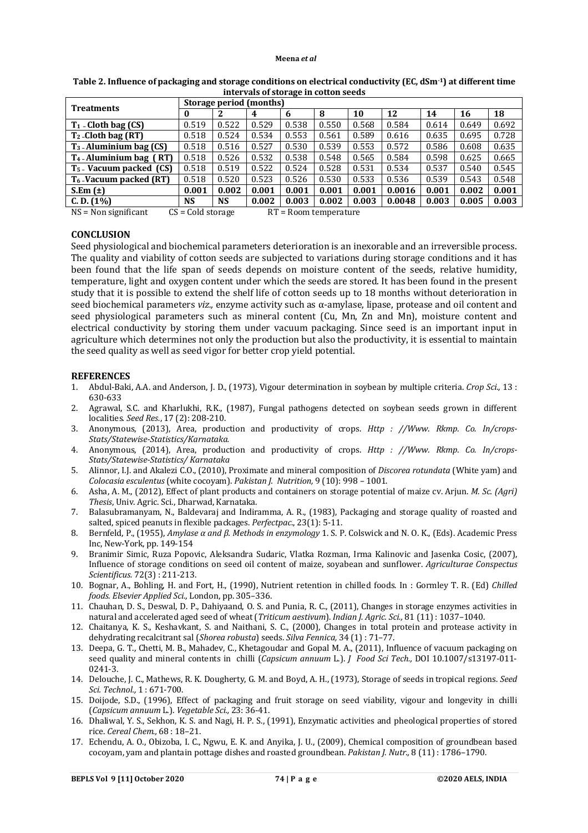| <b>Treatments</b>                                                        | Storage period (months) |           |       |       |       |       |        |       |       |       |
|--------------------------------------------------------------------------|-------------------------|-----------|-------|-------|-------|-------|--------|-------|-------|-------|
|                                                                          | 0                       |           | 4     | 6     | 8     | 10    | 12     | 14    | 16    | 18    |
| $T_1$ - Cloth bag $(CS)$                                                 | 0.519                   | 0.522     | 0.529 | 0.538 | 0.550 | 0.568 | 0.584  | 0.614 | 0.649 | 0.692 |
| $T_2$ -Cloth bag (RT)                                                    | 0.518                   | 0.524     | 0.534 | 0.553 | 0.561 | 0.589 | 0.616  | 0.635 | 0.695 | 0.728 |
| $T_3$ -Aluminium bag (CS)                                                | 0.518                   | 0.516     | 0.527 | 0.530 | 0.539 | 0.553 | 0.572  | 0.586 | 0.608 | 0.635 |
| $T_4$ -Aluminium bag (RT)                                                | 0.518                   | 0.526     | 0.532 | 0.538 | 0.548 | 0.565 | 0.584  | 0.598 | 0.625 | 0.665 |
| $T_5$ Vacuum packed (CS)                                                 | 0.518                   | 0.519     | 0.522 | 0.524 | 0.528 | 0.531 | 0.534  | 0.537 | 0.540 | 0.545 |
| $T_6$ -Vacuum packed (RT)                                                | 0.518                   | 0.520     | 0.523 | 0.526 | 0.530 | 0.533 | 0.536  | 0.539 | 0.543 | 0.548 |
| S.Em $(\pm)$                                                             | 0.001                   | 0.002     | 0.001 | 0.001 | 0.001 | 0.001 | 0.0016 | 0.001 | 0.002 | 0.001 |
| C. D. (1%)                                                               | NS                      | <b>NS</b> | 0.002 | 0.003 | 0.002 | 0.003 | 0.0048 | 0.003 | 0.005 | 0.003 |
| $CS = Cold$ storage<br>$NS = Non$ significant<br>$RT = Room$ temperature |                         |           |       |       |       |       |        |       |       |       |

**Table 2. Influence of packaging and storage conditions on electrical conductivity (EC, dSm-1) at different time intervals of storage in cotton seeds**

# **CONCLUSION**

Seed physiological and biochemical parameters deterioration is an inexorable and an irreversible process. The quality and viability of cotton seeds are subjected to variations during storage conditions and it has been found that the life span of seeds depends on moisture content of the seeds, relative humidity, temperature, light and oxygen content under which the seeds are stored. It has been found in the present study that it is possible to extend the shelf life of cotton seeds up to 18 months without deterioration in seed biochemical parameters *viz.,* enzyme activity such as α-amylase, lipase, protease and oil content and seed physiological parameters such as mineral content (Cu, Mn, Zn and Mn), moisture content and electrical conductivity by storing them under vacuum packaging. Since seed is an important input in agriculture which determines not only the production but also the productivity, it is essential to maintain the seed quality as well as seed vigor for better crop yield potential.

### **REFERENCES**

- 1. Abdul-Baki, A.A. and Anderson, J. D., (1973), Vigour determination in soybean by multiple criteria. *Crop Sci.,* 13 : 630-633
- 2. Agrawal, S.C. and Kharlukhi, R.K., (1987), Fungal pathogens detected on soybean seeds grown in different localities*. Seed Res.*, 17 (2): 208-210.
- 3. Anonymous, (2013), Area, production and productivity of crops. *Http : //Www. Rkmp. Co. In/crops-Stats/Statewise-Statistics/Karnataka.*
- 4. Anonymous, (2014), Area, production and productivity of crops. *Http : //Www. Rkmp. Co. In/crops-Stats/Statewise-Statistics/ Karnataka*
- 5. Alinnor, I.J. and Akalezi C.O., (2010), Proximate and mineral composition of *Discorea rotundata* (White yam) and *Colocasia esculentus* (white cocoyam). *Pakistan J. Nutrition,* 9 (10): 998 – 1001.
- 6. Asha, A. M., (2012), Effect of plant products and containers on storage potential of maize cv. Arjun. *M. Sc. (Agri) Thesis*, Univ. Agric. Sci., Dharwad, Karnataka.
- 7. Balasubramanyam, N., Baldevaraj and Indiramma, A. R., (1983), Packaging and storage quality of roasted and salted, spiced peanuts in flexible packages. *Perfectpac*., 23(1): 5-11.
- 8. Bernfeld, P., (1955), *Amylase α and β. Methods in enzymology* 1. S. P. Colswick and N. O. K., (Eds). Academic Press Inc, New-York, pp. 149-154
- 9. Branimir Simic, Ruza Popovic, Aleksandra Sudaric, Vlatka Rozman, Irma Kalinovic and Jasenka Cosic, (2007), Influence of storage conditions on seed oil content of maize, soyabean and sunflower. *Agriculturae Conspectus Scientificus.* 72(3) : 211-213.
- 10. Bognar, A., Bohling, H. and Fort, H., (1990), Nutrient retention in chilled foods. In : Gormley T. R. (Ed) *Chilled foods. Elsevier Applied Sci.,* London, pp. 305–336.
- 11. Chauhan, D. S., Deswal, D. P., Dahiyaand, O. S. and Punia, R. C., (2011), Changes in storage enzymes activities in natural and accelerated aged seed of wheat (*Triticum aestivum*). *Indian J. Agric. Sci.,* 81 (11) : 1037–1040.
- 12. Chaitanya, K. S., Keshavkant, S. and Naithani, S. C., (2000), Changes in total protein and protease activity in dehydrating recalcitrant sal (*Shorea robusta*) seeds. *Silva Fennica,* 34 (1) : 71–77.
- 13. Deepa, G. T., Chetti, M. B., Mahadev, C., Khetagoudar and Gopal M. A., (2011), Influence of vacuum packaging on seed quality and mineral contents in chilli (*Capsicum annuum* L.). *J Food Sci Tech.,* DOI 10.1007/s13197-011- 0241-3.
- 14. Delouche, J. C., Mathews, R. K. Dougherty, G. M. and Boyd, A. H., (1973), Storage of seeds in tropical regions. *Seed Sci. Technol.,* 1 : 671-700.
- 15. Doijode, S.D., (1996), Effect of packaging and fruit storage on seed viability, vigour and longevity in chilli (*Capsicum annuum* L.). *Vegetable Sci.,* 23: 36-41.
- 16. Dhaliwal, Y. S., Sekhon, K. S. and Nagi, H. P. S., (1991), Enzymatic activities and pheological properties of stored rice. *Cereal Chem.,* 68 : 18–21.
- 17. Echendu, A. O., Obizoba, I. C., Ngwu, E. K. and Anyika, J. U., (2009), Chemical composition of groundbean based cocoyam, yam and plantain pottage dishes and roasted groundbean. *Pakistan J. Nutr.,* 8 (11) : 1786–1790.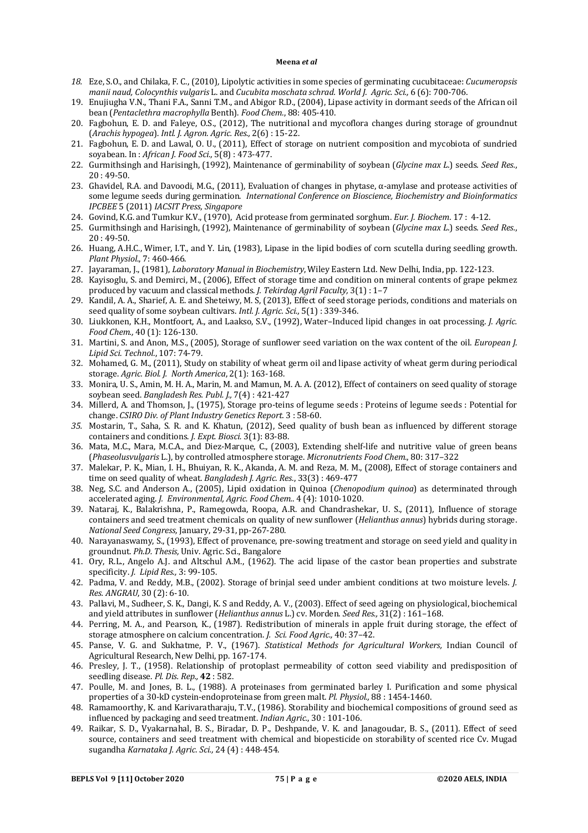- *18.* Eze, S.O., and Chilaka, F. C., (2010)*,* Lipolytic activities in some species of germinating cucubitaceae: *Cucumeropsis manii naud, Colocynthis vulgaris* L. and *Cucubita moschata schrad. World J. Agric. Sci.,* 6 (6): 700-706.
- 19. Enujiugha V.N., Thani F.A., Sanni T.M., and Abigor R.D., (2004), Lipase activity in dormant seeds of the African oil bean (*Pentaclethra macrophylla* Benth). *Food Chem.*, 88: 405-410.
- 20. Fagbohun, E. D. and Faleye, O.S., (2012), The nutritional and mycoflora changes during storage of groundnut (*Arachis hypogea*). *Intl. J. Agron. Agric. Res.,* 2(6) : 15-22.
- 21. Fagbohun, E. D. and Lawal, O. U., (2011), Effect of storage on nutrient composition and mycobiota of sundried soyabean. In : *African J. Food Sci.,* 5(8) : 473-477.
- 22. Gurmithsingh and Harisingh, (1992), Maintenance of germinability of soybean (*Glycine max L*.) seeds. *Seed Res.*,  $20 \cdot 49 - 50$
- 23. Ghavidel, R.A. and Davoodi, M.G., (2011), Evaluation of changes in phytase, α-amylase and protease activities of some legume seeds during germination. *International Conference on Bioscience, Biochemistry and Bioinformatics IPCBEE* 5 (2011) *IACSIT Press, Singapore*
- 24. Govind, K.G. and Tumkur K.V., (1970), Acid protease from germinated sorghum. *Eur. J. Biochem*. 17 : 4-12.
- 25. Gurmithsingh and Harisingh, (1992), Maintenance of germinability of soybean (*Glycine max L*.) seeds. *Seed Res.*, 20 : 49-50.
- 26. Huang, A.H.C., Wimer, I.T., and Y. Lin, (1983), Lipase in the lipid bodies of corn scutella during seedling growth. *Plant Physiol*., 7: 460-466.
- 27. Jayaraman, J., (1981), *Laboratory Manual in Biochemistry*, Wiley Eastern Ltd. New Delhi, India, pp. 122-123.
- 28. Kayisoglu, S. and Demirci, M., (2006), Effect of storage time and condition on mineral contents of grape pekmez produced by vacuum and classical methods. *J. Tekirdag Agril Faculty,* 3(1) : 1–7
- 29. Kandil, A. A., Sharief, A. E. and Sheteiwy, M. S, (2013), Effect of seed storage periods, conditions and materials on seed quality of some soybean cultivars. *Intl. J. Agric. Sci.,* 5(1) : 339-346.
- 30. Liukkonen, K.H., Montfoort, A., and Laakso, S.V., (1992), Water–Induced lipid changes in oat processing. *J. Agric. Food Chem.,* 40 (1): 126-130.
- 31. Martini, S. and Anon, M.S., (2005), Storage of sunflower seed variation on the wax content of the oil. *European J. Lipid Sci. Technol.*, 107: 74-79.
- 32. Mohamed, G. M., (2011), Study on stability of wheat germ oil and lipase activity of wheat germ during periodical storage. *Agric. Biol. J. North America*, 2(1): 163-168.
- 33. Monira, U. S., Amin, M. H. A., Marin, M. and Mamun, M. A. A. (2012), Effect of containers on seed quality of storage soybean seed. *Bangladesh Res. Publ. J.,* 7(4) : 421-427
- 34. Millerd, A. and Thomson, J., (1975), Storage pro-teins of legume seeds : Proteins of legume seeds : Potential for change. *CSIRO Div. of Plant Industry Genetics Report.* 3 : 58-60.
- *35.* Mostarin, T., Saha, S. R. and K. Khatun, (2012), Seed quality of bush bean as influenced by different storage containers and conditions. *J. Expt. Biosci.* 3(1): 83-88.
- 36. Mata, M.C., Mara, M.C.A., and Diez-Marque, C., (2003), Extending shelf-life and nutritive value of green beans (*Phaseolusvulgaris* L.), by controlled atmosphere storage. *Micronutrients Food Chem.*, 80: 317–322
- 37. Malekar, P. K., Mian, I. H., Bhuiyan, R. K., Akanda, A. M. and Reza, M. M., (2008), Effect of storage containers and time on seed quality of wheat. *Bangladesh J. Agric. Res.*, 33(3) : 469-477
- 38. Neg, S.C. and Anderson A., (2005), Lipid oxidation in Quinoa (*Chenopodium quinoa*) as determinated through accelerated aging. *J. Environmental, Agric. Food Chem.*. 4 (4): 1010-1020.
- 39. Nataraj, K., Balakrishna, P., Ramegowda, Roopa, A.R. and Chandrashekar, U. S., (2011), Influence of storage containers and seed treatment chemicals on quality of new sunflower (*Helianthus annus*) hybrids during storage. *National Seed Congress,* January, 29-31, pp-267-280.
- 40. Narayanaswamy, S., (1993), Effect of provenance, pre-sowing treatment and storage on seed yield and quality in groundnut. *Ph.D. Thesis,* Univ. Agric. Sci., Bangalore
- 41. Ory, R.L., Angelo A.J. and Altschul A.M., (1962). The acid lipase of the castor bean properties and substrate specificity. *J. Lipid Res.,* 3: 99-105.
- 42. Padma, V. and Reddy, M.B., (2002). Storage of brinjal seed under ambient conditions at two moisture levels. *J. Res. ANGRAU*, 30 (2): 6-10.
- 43. Pallavi, M., Sudheer, S. K., Dangi, K. S and Reddy, A. V., (2003). Effect of seed ageing on physiological, biochemical and yield attributes in sunflower (*Helianthus annus* L.) cv. Morden. *Seed Res.,* 31(2) : 161–168.
- 44. Perring, M. A., and Pearson, K., (1987). Redistribution of minerals in apple fruit during storage, the effect of storage atmosphere on calcium concentration. *J. Sci. Food Agric.,* 40: 37–42.
- 45. Panse, V. G. and Sukhatme, P. V., (1967). *Statistical Methods for Agricultural Workers,* Indian Council of Agricultural Research, New Delhi, pp. 167-174.
- 46. Presley, J. T., (1958). Relationship of protoplast permeability of cotton seed viability and predisposition of seedling disease. *Pl. Dis. Rep.,* **42** : 582.
- 47. Poulle, M. and Jones, B. L., (1988). A proteinases from germinated barley I. Purification and some physical properties of a 30-kD cystein-endoproteinase from green malt. *Pl. Physiol.,* 88 : 1454-1460.
- 48. Ramamoorthy, K. and Karivaratharaju, T.V., (1986). Storability and biochemical compositions of ground seed as influenced by packaging and seed treatment. *Indian Agric.*, 30 : 101-106.
- 49. Raikar, S. D., Vyakarnahal, B. S., Biradar, D. P., Deshpande, V. K. and Janagoudar, B. S., (2011). Effect of seed source, containers and seed treatment with chemical and biopesticide on storability of scented rice Cv. Mugad sugandha *Karnataka J. Agric. Sci.,* 24 (4) : 448-454.